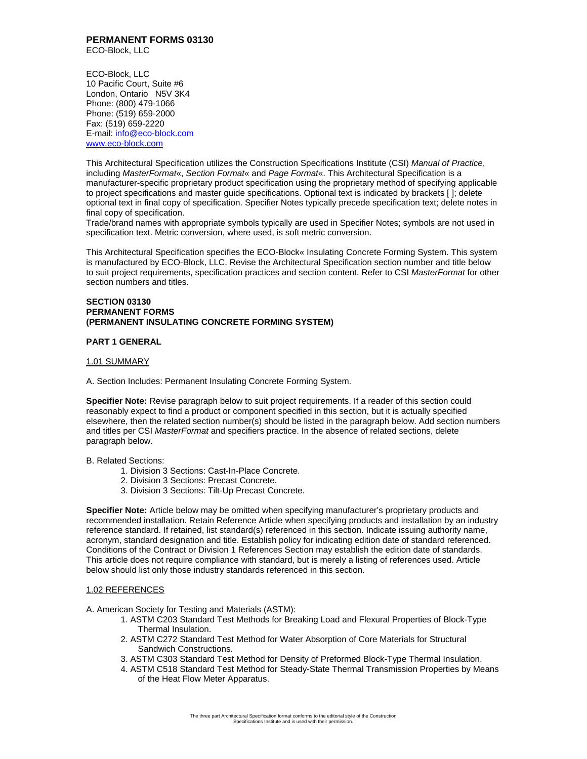#### **PERMANENT FORMS 03130**  ECO-Block, LLC

ECO-Block, LLC 10 Pacific Court, Suite #6 London, Ontario N5V 3K4 Phone: (800) 479-1066 Phone: (519) 659-2000 Fax: (519) 659-2220 E-mail: info@eco-block.com www.eco-block.com

This Architectural Specification utilizes the Construction Specifications Institute (CSI) *Manual of Practice*, including *MasterFormat*«, *Section Format*« and *Page Format*«. This Architectural Specification is a manufacturer-specific proprietary product specification using the proprietary method of specifying applicable to project specifications and master guide specifications. Optional text is indicated by brackets [ ]; delete optional text in final copy of specification. Specifier Notes typically precede specification text; delete notes in final copy of specification.

Trade/brand names with appropriate symbols typically are used in Specifier Notes; symbols are not used in specification text. Metric conversion, where used, is soft metric conversion.

This Architectural Specification specifies the ECO-Block« Insulating Concrete Forming System. This system is manufactured by ECO-Block, LLC. Revise the Architectural Specification section number and title below to suit project requirements, specification practices and section content. Refer to CSI *MasterFormat* for other section numbers and titles.

### **SECTION 03130 PERMANENT FORMS (PERMANENT INSULATING CONCRETE FORMING SYSTEM)**

### **PART 1 GENERAL**

#### 1.01 SUMMARY

A. Section Includes: Permanent Insulating Concrete Forming System.

**Specifier Note:** Revise paragraph below to suit project requirements. If a reader of this section could reasonably expect to find a product or component specified in this section, but it is actually specified elsewhere, then the related section number(s) should be listed in the paragraph below. Add section numbers and titles per CSI *MasterFormat* and specifiers practice. In the absence of related sections, delete paragraph below.

#### B. Related Sections:

- 1. Division 3 Sections: Cast-In-Place Concrete.
- 2. Division 3 Sections: Precast Concrete.
- 3. Division 3 Sections: Tilt-Up Precast Concrete.

**Specifier Note:** Article below may be omitted when specifying manufacturer's proprietary products and recommended installation. Retain Reference Article when specifying products and installation by an industry reference standard. If retained, list standard(s) referenced in this section. Indicate issuing authority name, acronym, standard designation and title. Establish policy for indicating edition date of standard referenced. Conditions of the Contract or Division 1 References Section may establish the edition date of standards. This article does not require compliance with standard, but is merely a listing of references used. Article below should list only those industry standards referenced in this section.

### 1.02 REFERENCES

A. American Society for Testing and Materials (ASTM):

- 1. ASTM C203 Standard Test Methods for Breaking Load and Flexural Properties of Block-Type Thermal Insulation.
- 2. ASTM C272 Standard Test Method for Water Absorption of Core Materials for Structural Sandwich Constructions.
- 3. ASTM C303 Standard Test Method for Density of Preformed Block-Type Thermal Insulation.
- 4. ASTM C518 Standard Test Method for Steady-State Thermal Transmission Properties by Means of the Heat Flow Meter Apparatus.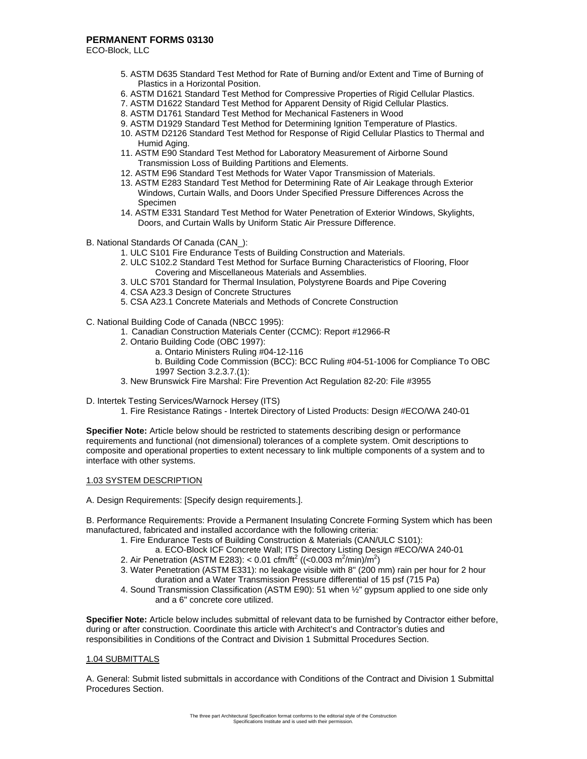ECO-Block, LLC

- 5. ASTM D635 Standard Test Method for Rate of Burning and/or Extent and Time of Burning of Plastics in a Horizontal Position.
- 6. ASTM D1621 Standard Test Method for Compressive Properties of Rigid Cellular Plastics.
- 7. ASTM D1622 Standard Test Method for Apparent Density of Rigid Cellular Plastics.
- 8. ASTM D1761 Standard Test Method for Mechanical Fasteners in Wood
- 9. ASTM D1929 Standard Test Method for Determining Ignition Temperature of Plastics.
- 10. ASTM D2126 Standard Test Method for Response of Rigid Cellular Plastics to Thermal and Humid Aging.
- 11. ASTM E90 Standard Test Method for Laboratory Measurement of Airborne Sound Transmission Loss of Building Partitions and Elements.
- 12. ASTM E96 Standard Test Methods for Water Vapor Transmission of Materials.
- 13. ASTM E283 Standard Test Method for Determining Rate of Air Leakage through Exterior Windows, Curtain Walls, and Doors Under Specified Pressure Differences Across the Specimen
- 14. ASTM E331 Standard Test Method for Water Penetration of Exterior Windows, Skylights, Doors, and Curtain Walls by Uniform Static Air Pressure Difference.
- B. National Standards Of Canada (CAN\_):
	- 1. ULC S101 Fire Endurance Tests of Building Construction and Materials.
	- 2. ULC S102.2 Standard Test Method for Surface Burning Characteristics of Flooring, Floor Covering and Miscellaneous Materials and Assemblies.
	- 3. ULC S701 Standard for Thermal Insulation, Polystyrene Boards and Pipe Covering
	- 4. CSA A23.3 Design of Concrete Structures
	- 5. CSA A23.1 Concrete Materials and Methods of Concrete Construction

C. National Building Code of Canada (NBCC 1995):

- 1. Canadian Construction Materials Center (CCMC): Report #12966-R
- 2. Ontario Building Code (OBC 1997):
	- a. Ontario Ministers Ruling #04-12-116
	- b. Building Code Commission (BCC): BCC Ruling #04-51-1006 for Compliance To OBC 1997 Section 3.2.3.7.(1):
- 3. New Brunswick Fire Marshal: Fire Prevention Act Regulation 82-20: File #3955
- D. Intertek Testing Services/Warnock Hersey (ITS)
	- 1. Fire Resistance Ratings Intertek Directory of Listed Products: Design #ECO/WA 240-01

**Specifier Note:** Article below should be restricted to statements describing design or performance requirements and functional (not dimensional) tolerances of a complete system. Omit descriptions to composite and operational properties to extent necessary to link multiple components of a system and to interface with other systems.

#### 1.03 SYSTEM DESCRIPTION

A. Design Requirements: [Specify design requirements.].

B. Performance Requirements: Provide a Permanent Insulating Concrete Forming System which has been manufactured, fabricated and installed accordance with the following criteria:

- 1. Fire Endurance Tests of Building Construction & Materials (CAN/ULC S101):
	- a. ECO-Block ICF Concrete Wall; ITS Directory Listing Design #ECO/WA 240-01
- 2. Air Penetration (ASTM E283): < 0.01 cfm/ft<sup>2</sup> ((<0.003 m<sup>2</sup>/min)/m<sup>2</sup>)
- 3. Water Penetration (ASTM E331): no leakage visible with 8" (200 mm) rain per hour for 2 hour duration and a Water Transmission Pressure differential of 15 psf (715 Pa)
- 4. Sound Transmission Classification (ASTM E90): 51 when ½" gypsum applied to one side only and a 6" concrete core utilized.

**Specifier Note:** Article below includes submittal of relevant data to be furnished by Contractor either before, during or after construction. Coordinate this article with Architect's and Contractor's duties and responsibilities in Conditions of the Contract and Division 1 Submittal Procedures Section.

## 1.04 SUBMITTALS

A. General: Submit listed submittals in accordance with Conditions of the Contract and Division 1 Submittal Procedures Section.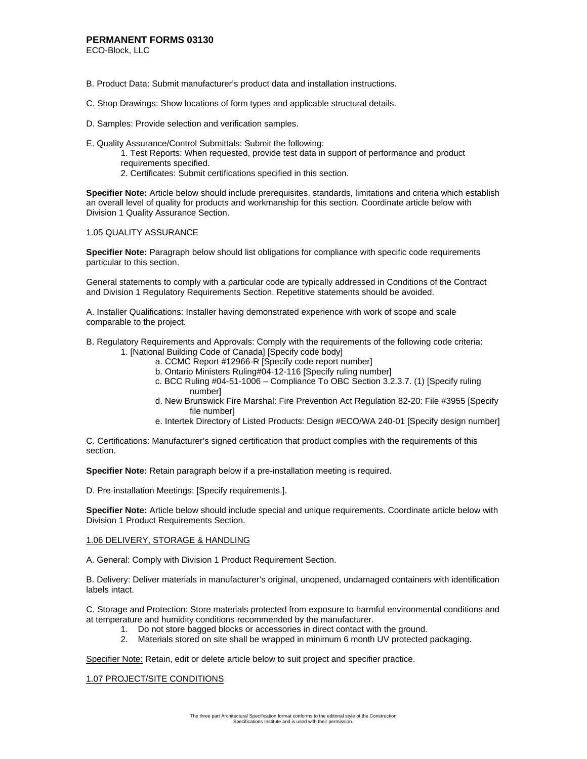ECO-Block, LLC

- B. Product Data: Submit manufacturer's product data and installation instructions.
- C. Shop Drawings: Show locations of form types and applicable structural details.
- D. Samples: Provide selection and verification samples.
- E. Quality Assurance/Control Submittals: Submit the following:
	- 1. Test Reports: When requested, provide test data in support of performance and product requirements specified.
	- 2. Certificates: Submit certifications specified in this section.

**Specifier Note:** Article below should include prerequisites, standards, limitations and criteria which establish an overall level of quality for products and workmanship for this section. Coordinate article below with Division 1 Quality Assurance Section.

### 1.05 QUALITY ASSURANCE

**Specifier Note:** Paragraph below should list obligations for compliance with specific code requirements particular to this section.

General statements to comply with a particular code are typically addressed in Conditions of the Contract and Division 1 Regulatory Requirements Section. Repetitive statements should be avoided.

A. Installer Qualifications: Installer having demonstrated experience with work of scope and scale comparable to the project.

B. Regulatory Requirements and Approvals: Comply with the requirements of the following code criteria: 1. [National Building Code of Canada] [Specify code body]

- 
- a. CCMC Report #12966-R [Specify code report number]
- b. Ontario Ministers Ruling#04-12-116 [Specify ruling number]
- c. BCC Ruling #04-51-1006 Compliance To OBC Section 3.2.3.7. (1) [Specify ruling number]
- d. New Brunswick Fire Marshal: Fire Prevention Act Regulation 82-20: File #3955 [Specify file number]
- e. Intertek Directory of Listed Products: Design #ECO/WA 240-01 [Specify design number]

C. Certifications: Manufacturer's signed certification that product complies with the requirements of this section.

**Specifier Note:** Retain paragraph below if a pre-installation meeting is required.

D. Pre-installation Meetings: [Specify requirements.].

**Specifier Note:** Article below should include special and unique requirements. Coordinate article below with Division 1 Product Requirements Section.

## 1.06 DELIVERY, STORAGE & HANDLING

A. General: Comply with Division 1 Product Requirement Section.

B. Delivery: Deliver materials in manufacturer's original, unopened, undamaged containers with identification labels intact.

C. Storage and Protection: Store materials protected from exposure to harmful environmental conditions and at temperature and humidity conditions recommended by the manufacturer.

- 1. Do not store bagged blocks or accessories in direct contact with the ground.
	- 2. Materials stored on site shall be wrapped in minimum 6 month UV protected packaging.

Specifier Note: Retain, edit or delete article below to suit project and specifier practice.

## 1.07 PROJECT/SITE CONDITIONS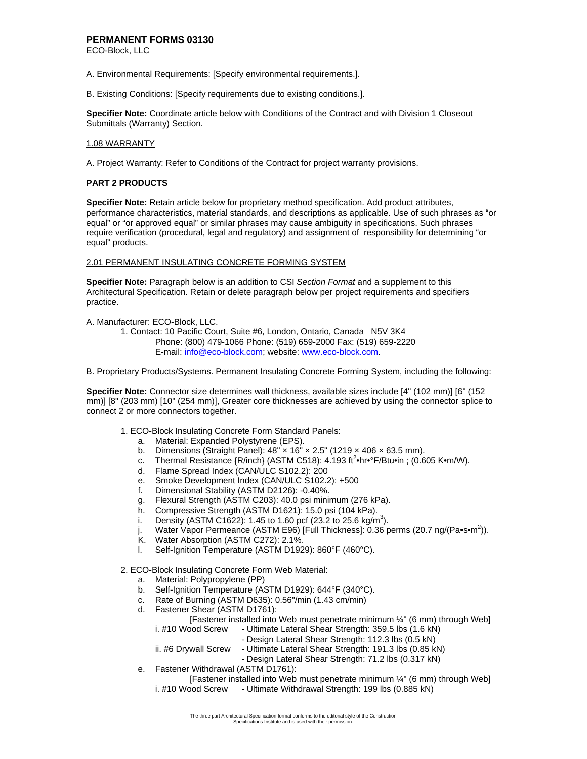ECO-Block, LLC

- A. Environmental Requirements: [Specify environmental requirements.].
- B. Existing Conditions: [Specify requirements due to existing conditions.].

**Specifier Note:** Coordinate article below with Conditions of the Contract and with Division 1 Closeout Submittals (Warranty) Section.

### 1.08 WARRANTY

A. Project Warranty: Refer to Conditions of the Contract for project warranty provisions.

### **PART 2 PRODUCTS**

**Specifier Note:** Retain article below for proprietary method specification. Add product attributes, performance characteristics, material standards, and descriptions as applicable. Use of such phrases as "or equal" or "or approved equal" or similar phrases may cause ambiguity in specifications. Such phrases require verification (procedural, legal and regulatory) and assignment of responsibility for determining "or equal" products.

### 2.01 PERMANENT INSULATING CONCRETE FORMING SYSTEM

**Specifier Note:** Paragraph below is an addition to CSI *Section Format* and a supplement to this Architectural Specification. Retain or delete paragraph below per project requirements and specifiers practice.

A. Manufacturer: ECO-Block, LLC.

 1. Contact: 10 Pacific Court, Suite #6, London, Ontario, Canada N5V 3K4 Phone: (800) 479-1066 Phone: (519) 659-2000 Fax: (519) 659-2220 E-mail: info@eco-block.com; website: www.eco-block.com.

B. Proprietary Products/Systems. Permanent Insulating Concrete Forming System, including the following:

**Specifier Note:** Connector size determines wall thickness, available sizes include [4" (102 mm)] [6" (152 mm)] [8" (203 mm) [10" (254 mm)], Greater core thicknesses are achieved by using the connector splice to connect 2 or more connectors together.

- 1. ECO-Block Insulating Concrete Form Standard Panels:
	- a. Material: Expanded Polystyrene (EPS).
	- b. Dimensions (Straight Panel):  $48'' \times 16'' \times 2.5''$  (1219  $\times$  406  $\times$  63.5 mm).
	- c. Thermal Resistance  ${R/inch}$  (ASTM C518):  $4.193$  ft<sup>2</sup> hr  $\cdot$ F/Btu in ; (0.605 K  $\cdot$ m/W).
	- d. Flame Spread Index (CAN/ULC S102.2): 200
	- e. Smoke Development Index (CAN/ULC S102.2): +500
	- f. Dimensional Stability (ASTM D2126): -0.40%.
	- g. Flexural Strength (ASTM C203): 40.0 psi minimum (276 kPa).
	- h. Compressive Strength (ASTM D1621): 15.0 psi (104 kPa).
	- i. Density (ASTM C1622): 1.45 to 1.60 pcf (23.2 to 25.6 kg/m<sup>3</sup>).
	- j. Water Vapor Permeance (ASTM E96) [Full Thickness]: 0.36 perms (20.7 ng/(Pa•s•m<sup>2</sup>)).
	- K. Water Absorption (ASTM C272): 2.1%.
	- l. Self-Ignition Temperature (ASTM D1929): 860°F (460°C).

2. ECO-Block Insulating Concrete Form Web Material:

- a. Material: Polypropylene (PP)
- b. Self-Ignition Temperature (ASTM D1929): 644°F (340°C).
- c. Rate of Burning (ASTM D635): 0.56"/min (1.43 cm/min)
- d. Fastener Shear (ASTM D1761):

 [Fastener installed into Web must penetrate minimum ¼" (6 mm) through Web] i. #10 Wood Screw - Ultimate Lateral Shear Strength: 359.5 lbs (1.6 kN)

- Design Lateral Shear Strength: 112.3 lbs (0.5 kN)
- ii. #6 Drywall Screw Ultimate Lateral Shear Strength: 191.3 lbs (0.85 kN)
	- Design Lateral Shear Strength: 71.2 lbs (0.317 kN)
- e. Fastener Withdrawal (ASTM D1761):

 [Fastener installed into Web must penetrate minimum ¼" (6 mm) through Web] i. #10 Wood Screw - Ultimate Withdrawal Strength: 199 lbs (0.885 kN)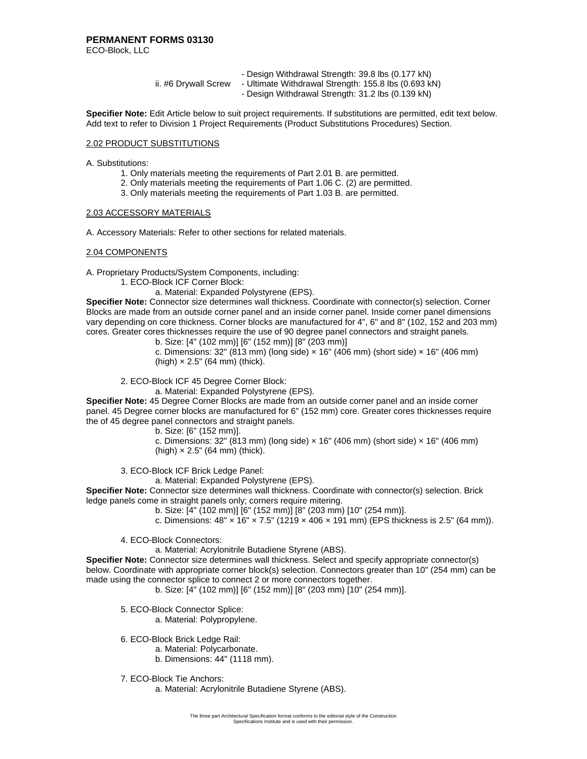ECO-Block, LLC

|                      | - Design Withdrawal Strength: 39.8 lbs (0.177 kN)    |
|----------------------|------------------------------------------------------|
| ii. #6 Drywall Screw | - Ultimate Withdrawal Strength: 155.8 lbs (0.693 kN) |

- Design Withdrawal Strength: 31.2 lbs (0.139 kN)

**Specifier Note:** Edit Article below to suit project requirements. If substitutions are permitted, edit text below. Add text to refer to Division 1 Project Requirements (Product Substitutions Procedures) Section.

### 2.02 PRODUCT SUBSTITUTIONS

A. Substitutions:

- 1. Only materials meeting the requirements of Part 2.01 B. are permitted.
- 2. Only materials meeting the requirements of Part 1.06 C. (2) are permitted.
- 3. Only materials meeting the requirements of Part 1.03 B. are permitted.

### 2.03 ACCESSORY MATERIALS

A. Accessory Materials: Refer to other sections for related materials.

### 2.04 COMPONENTS

A. Proprietary Products/System Components, including:

- 1. ECO-Block ICF Corner Block:
	- a. Material: Expanded Polystyrene (EPS).

**Specifier Note:** Connector size determines wall thickness. Coordinate with connector(s) selection. Corner Blocks are made from an outside corner panel and an inside corner panel. Inside corner panel dimensions vary depending on core thickness. Corner blocks are manufactured for 4", 6" and 8" (102, 152 and 203 mm) cores. Greater cores thicknesses require the use of 90 degree panel connectors and straight panels.

b. Size: [4" (102 mm)] [6" (152 mm)] [8" (203 mm)]

c. Dimensions: 32" (813 mm) (long side)  $\times$  16" (406 mm) (short side)  $\times$  16" (406 mm)  $(high) \times 2.5$ " (64 mm) (thick).

2. ECO-Block ICF 45 Degree Corner Block:

a. Material: Expanded Polystyrene (EPS). **Specifier Note:** 45 Degree Corner Blocks are made from an outside corner panel and an inside corner panel. 45 Degree corner blocks are manufactured for 6" (152 mm) core. Greater cores thicknesses require the of 45 degree panel connectors and straight panels.

b. Size: [6" (152 mm)].

c. Dimensions: 32" (813 mm) (long side)  $\times$  16" (406 mm) (short side)  $\times$  16" (406 mm)  $(high) \times 2.5$ " (64 mm) (thick).

3. ECO-Block ICF Brick Ledge Panel:

a. Material: Expanded Polystyrene (EPS).

**Specifier Note:** Connector size determines wall thickness. Coordinate with connector(s) selection. Brick ledge panels come in straight panels only; corners require mitering.

b. Size: [4" (102 mm)] [6" (152 mm)] [8" (203 mm) [10" (254 mm)].

c. Dimensions:  $48'' \times 16'' \times 7.5''$  (1219  $\times 406 \times 191$  mm) (EPS thickness is 2.5" (64 mm)).

4. ECO-Block Connectors:

a. Material: Acrylonitrile Butadiene Styrene (ABS).

**Specifier Note:** Connector size determines wall thickness. Select and specify appropriate connector(s) below. Coordinate with appropriate corner block(s) selection. Connectors greater than 10" (254 mm) can be made using the connector splice to connect 2 or more connectors together.

b. Size: [4" (102 mm)] [6" (152 mm)] [8" (203 mm) [10" (254 mm)].

5. ECO-Block Connector Splice:

a. Material: Polypropylene.

6. ECO-Block Brick Ledge Rail:

- a. Material: Polycarbonate.
	- b. Dimensions: 44" (1118 mm).
- 7. ECO-Block Tie Anchors:

a. Material: Acrylonitrile Butadiene Styrene (ABS).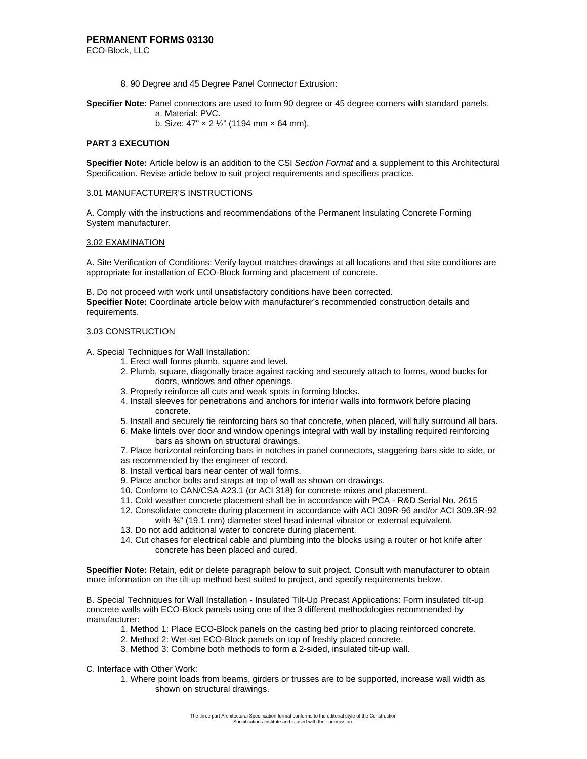8. 90 Degree and 45 Degree Panel Connector Extrusion:

**Specifier Note:** Panel connectors are used to form 90 degree or 45 degree corners with standard panels.

- a. Material: PVC.
- b. Size:  $47'' \times 2 \frac{1}{2}''$  (1194 mm  $\times$  64 mm).

### **PART 3 EXECUTION**

**Specifier Note:** Article below is an addition to the CSI *Section Format* and a supplement to this Architectural Specification. Revise article below to suit project requirements and specifiers practice.

#### 3.01 MANUFACTURER'S INSTRUCTIONS

A. Comply with the instructions and recommendations of the Permanent Insulating Concrete Forming System manufacturer.

### 3.02 EXAMINATION

A. Site Verification of Conditions: Verify layout matches drawings at all locations and that site conditions are appropriate for installation of ECO-Block forming and placement of concrete.

B. Do not proceed with work until unsatisfactory conditions have been corrected. **Specifier Note:** Coordinate article below with manufacturer's recommended construction details and requirements.

### 3.03 CONSTRUCTION

A. Special Techniques for Wall Installation:

- 1. Erect wall forms plumb, square and level.
- 2. Plumb, square, diagonally brace against racking and securely attach to forms, wood bucks for doors, windows and other openings.
- 3. Properly reinforce all cuts and weak spots in forming blocks.
- 4. Install sleeves for penetrations and anchors for interior walls into formwork before placing concrete.
- 5. Install and securely tie reinforcing bars so that concrete, when placed, will fully surround all bars.
- 6. Make lintels over door and window openings integral with wall by installing required reinforcing bars as shown on structural drawings.

7. Place horizontal reinforcing bars in notches in panel connectors, staggering bars side to side, or as recommended by the engineer of record.

- 8. Install vertical bars near center of wall forms.
- 9. Place anchor bolts and straps at top of wall as shown on drawings.
- 10. Conform to CAN/CSA A23.1 (or ACI 318) for concrete mixes and placement.
- 11. Cold weather concrete placement shall be in accordance with PCA R&D Serial No. 2615
- 12. Consolidate concrete during placement in accordance with ACI 309R-96 and/or ACI 309.3R-92 with 3/4" (19.1 mm) diameter steel head internal vibrator or external equivalent.
- 
- 13. Do not add additional water to concrete during placement.
- 14. Cut chases for electrical cable and plumbing into the blocks using a router or hot knife after concrete has been placed and cured.

**Specifier Note:** Retain, edit or delete paragraph below to suit project. Consult with manufacturer to obtain more information on the tilt-up method best suited to project, and specify requirements below.

B. Special Techniques for Wall Installation - Insulated Tilt-Up Precast Applications: Form insulated tilt-up concrete walls with ECO-Block panels using one of the 3 different methodologies recommended by manufacturer:

- 1. Method 1: Place ECO-Block panels on the casting bed prior to placing reinforced concrete.
- 2. Method 2: Wet-set ECO-Block panels on top of freshly placed concrete.
- 3. Method 3: Combine both methods to form a 2-sided, insulated tilt-up wall.
- C. Interface with Other Work:
	- 1. Where point loads from beams, girders or trusses are to be supported, increase wall width as shown on structural drawings.